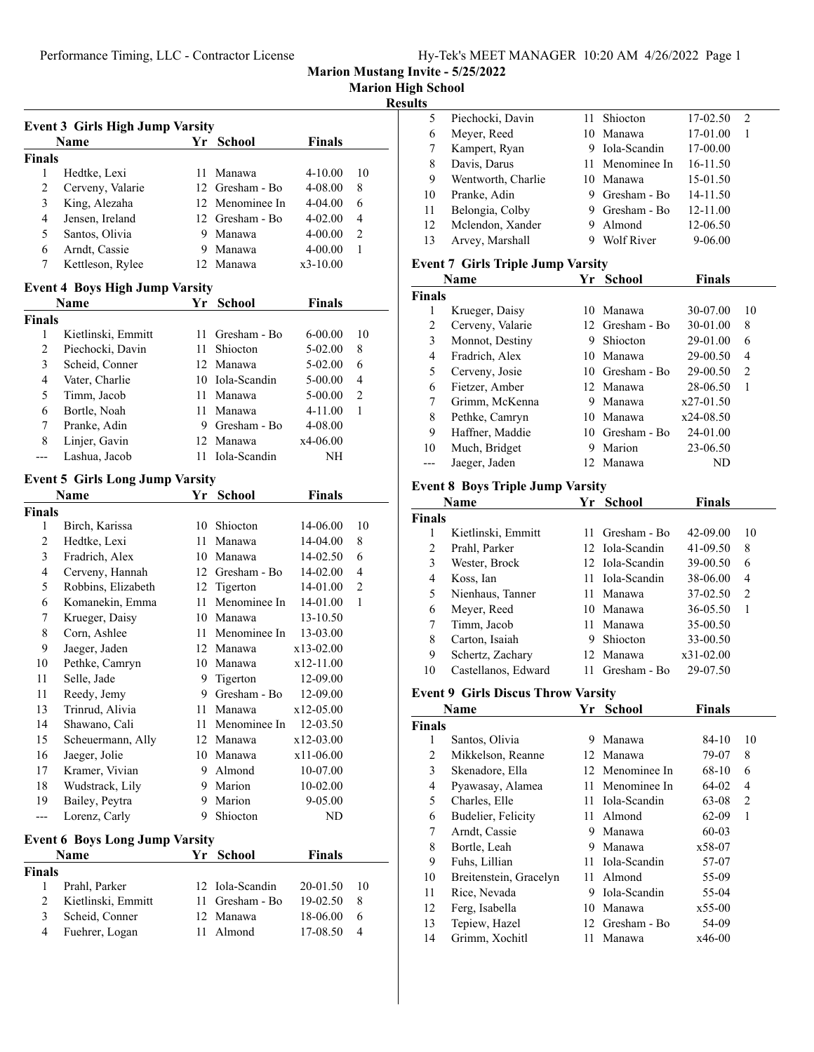**Marion High School**

#### **Results**

|                                       | <b>Event 3 Girls High Jump Varsity</b> |      |                 |            |    |  |  |  |
|---------------------------------------|----------------------------------------|------|-----------------|------------|----|--|--|--|
|                                       | Name                                   |      | Yr School       | Finals     |    |  |  |  |
| <b>Finals</b>                         |                                        |      |                 |            |    |  |  |  |
| 1                                     | Hedtke, Lexi                           | 11.  | Manawa          | 4-10.00    | 10 |  |  |  |
| $\overline{c}$                        | Cerveny, Valarie                       |      | 12 Gresham - Bo | 4-08.00    | 8  |  |  |  |
| 3                                     | King, Alezaha                          |      | 12 Menominee In | 4-04.00    | 6  |  |  |  |
| 4                                     | Jensen, Ireland                        |      | 12 Gresham - Bo | 4-02.00    | 4  |  |  |  |
| 5                                     | Santos, Olivia                         | 9.   | Manawa          | 4-00.00    | 2  |  |  |  |
| 6                                     | Arndt, Cassie                          | 9.   | Manawa          | 4-00.00    | 1  |  |  |  |
| 7                                     | Kettleson, Rylee                       |      | 12 Manawa       | $x3-10.00$ |    |  |  |  |
| <b>Event 4 Boys High Jump Varsity</b> |                                        |      |                 |            |    |  |  |  |
| <b>Finals</b><br>Name<br>Yr School    |                                        |      |                 |            |    |  |  |  |
| <b>Finals</b>                         |                                        |      |                 |            |    |  |  |  |
| 1                                     | Kietlinski, Emmitt                     | 11 - | Gresham - Bo    | 6-00.00    | 10 |  |  |  |
| 2                                     | Piechocki, Davin                       | 11   | Shiocton        | 5-02.00    | 8  |  |  |  |
| 3                                     | Scheid, Conner                         |      | 12 Manawa       | 5-02.00    | 6  |  |  |  |
| 4                                     | Vater, Charlie                         |      | 10 Iola-Scandin | 5-00.00    | 4  |  |  |  |
| 5                                     | Timm, Jacob                            |      | 11 Manawa       | 5-00.00    | 2  |  |  |  |
| 6                                     | Bortle, Noah                           | 11-  | Manawa          | 4-11.00    | 1  |  |  |  |
| 7                                     | Pranke, Adin                           | 9.   | Gresham - Bo    | 4-08.00    |    |  |  |  |
| 8                                     | Linjer, Gavin                          | 12   | Manawa          | x4-06.00   |    |  |  |  |
| ---                                   | Lashua, Jacob                          |      | 11 Iola-Scandin | NH         |    |  |  |  |
|                                       |                                        |      |                 |            |    |  |  |  |
|                                       | <b>Event 5 Girls Long Jump Varsity</b> |      |                 |            |    |  |  |  |
|                                       | Name                                   |      | Yr School       | Finals     |    |  |  |  |
| <b>Finals</b>                         |                                        |      |                 |            |    |  |  |  |
| 1                                     | Birch, Karissa                         |      | 10 Shiocton     | 14-06.00   | 10 |  |  |  |
| 2                                     | Hedtke, Lexi                           |      | 11 Manawa       | 14-04.00   | 8  |  |  |  |
| 3                                     | Fradrich, Alex                         |      | 10 Manawa       | 14-02.50   | 6  |  |  |  |
| 4                                     | Cerveny, Hannah                        |      | 12 Gresham - Bo | 14-02.00   | 4  |  |  |  |
| 5                                     | Robbins, Elizabeth                     |      | 12 Tigerton     | 14-01.00   | 2  |  |  |  |
| 6                                     | Komanekin, Emma                        | 11   | Menominee In    | 14-01.00   | 1  |  |  |  |
| 7                                     | Krueger, Daisy                         |      | 10 Manawa       | 13-10.50   |    |  |  |  |
| 8                                     | Corn, Ashlee                           | 11   | Menominee In    | 13-03.00   |    |  |  |  |
| 9                                     | Jaeger, Jaden                          |      | 12 Manawa       | x13-02.00  |    |  |  |  |
| 10                                    | Pethke, Camryn                         |      | 10 Manawa       | x12-11.00  |    |  |  |  |
| 11                                    | Selle, Jade                            | 9.   | Tigerton        | 12-09.00   |    |  |  |  |
| 11                                    | Reedy, Jemy                            |      | 9 Gresham - Bo  | 12-09.00   |    |  |  |  |
| 13                                    | Trinrud, Alivia                        | 11   | Manawa          | x12-05.00  |    |  |  |  |
| 14                                    | Shawano, Cali                          | 11   | Menominee In    | 12-03.50   |    |  |  |  |
| 15                                    | Scheuermann, Ally                      |      | 12 Manawa       | x12-03.00  |    |  |  |  |
| 16                                    | Jaeger, Jolie                          |      | 10 Manawa       | x11-06.00  |    |  |  |  |
| 17                                    | Kramer, Vivian                         |      | 9 Almond        | 10-07.00   |    |  |  |  |
| 18                                    | Wudstrack, Lily                        |      | 9 Marion        | 10-02.00   |    |  |  |  |
| 19                                    | Bailey, Peytra                         | 9.   | Marion          | 9-05.00    |    |  |  |  |
| ---                                   | Lorenz, Carly                          | 9    | Shiocton        | ND         |    |  |  |  |
|                                       | <b>Event 6 Boys Long Jump Varsity</b>  |      |                 |            |    |  |  |  |
|                                       | Name                                   |      | Yr School       | Finals     |    |  |  |  |
| <b>Finals</b>                         |                                        |      |                 |            |    |  |  |  |
| 1                                     | Prahl, Parker                          | 12   | Iola-Scandin    | 20-01.50   | 10 |  |  |  |
| $\overline{2}$                        | Kietlinski, Emmitt                     | 11   | Gresham - Bo    | 19-02.50   | 8  |  |  |  |
| 3                                     | Scheid, Conner                         |      | 12 Manawa       | 18-06.00   | 6  |  |  |  |
| $\overline{4}$                        | Fuehrer, Logan                         | 11   | Almond          | 17-08.50   | 4  |  |  |  |
|                                       |                                        |      |                 |            |    |  |  |  |

| L3. |                    |   |                 |          |   |  |
|-----|--------------------|---|-----------------|----------|---|--|
| 5   | Piechocki, Davin   |   | 11 Shiocton     | 17-02.50 | 2 |  |
| 6   | Meyer, Reed        |   | 10 Manawa       | 17-01.00 | 1 |  |
|     | Kampert, Ryan      | 9 | Iola-Scandin    | 17-00.00 |   |  |
| 8   | Davis, Darus       |   | 11 Menominee In | 16-11.50 |   |  |
| 9   | Wentworth, Charlie |   | 10 Manawa       | 15-01.50 |   |  |
| 10  | Pranke, Adin       | 9 | Gresham - Bo    | 14-11.50 |   |  |
| 11  | Belongia, Colby    | 9 | Gresham - Bo    | 12-11.00 |   |  |
| 12  | Mclendon, Xander   | 9 | Almond          | 12-06.50 |   |  |
| 13  | Arvey, Marshall    | 9 | Wolf River      | 9-06.00  |   |  |
|     |                    |   |                 |          |   |  |

## **Event 7 Girls Triple Jump Varsity**

|               | Name             | Yr | <b>School</b>    | <b>Finals</b> |               |
|---------------|------------------|----|------------------|---------------|---------------|
| <b>Finals</b> |                  |    |                  |               |               |
| 1             | Krueger, Daisy   | 10 | Manawa           | 30-07.00      | 10            |
| 2             | Cerveny, Valarie |    | 12. Gresham - Bo | 30-01.00      | 8             |
| 3             | Monnot, Destiny  | 9  | Shiocton         | 29-01.00      | 6             |
| 4             | Fradrich, Alex   |    | 10 Manawa        | 29-00.50      | 4             |
| 5             | Cerveny, Josie   |    | 10 Gresham - Bo  | 29-00.50      | $\mathcal{L}$ |
| 6             | Fietzer, Amber   |    | 12 Manawa        | 28-06.50      | 1             |
| 7             | Grimm, McKenna   | 9  | Manawa           | $x27-01.50$   |               |
| 8             | Pethke, Camryn   | 10 | Manawa           | x24-08.50     |               |
| 9             | Haffner, Maddie  |    | 10 Gresham - Bo  | 24-01.00      |               |
| 10            | Much, Bridget    | 9  | Marion           | 23-06.50      |               |
|               | Jaeger, Jaden    |    | Manawa           | ND            |               |

# **Event 8 Boys Triple Jump Varsity**

|               | Name                | Yr  | School          | Finals      |    |
|---------------|---------------------|-----|-----------------|-------------|----|
| <b>Finals</b> |                     |     |                 |             |    |
| 1             | Kietlinski, Emmitt  | 11  | Gresham - Bo    | 42-09.00    | 10 |
| 2             | Prahl, Parker       |     | 12 Iola-Scandin | 41-09.50    | 8  |
| 3             | Wester, Brock       |     | 12 Iola-Scandin | 39-00.50    | 6  |
| 4             | Koss, Ian           |     | Iola-Scandin    | 38-06.00    | 4  |
| 5             | Nienhaus, Tanner    | 11  | Manawa          | 37-02.50    | 2  |
| 6             | Meyer, Reed         | 10  | Manawa          | 36-05.50    | 1  |
| 7             | Timm, Jacob         | 11  | Manawa          | 35-00.50    |    |
| 8             | Carton, Isaiah      | 9   | Shiocton        | 33-00.50    |    |
| 9             | Schertz, Zachary    | 12. | Manawa          | $x31-02.00$ |    |
| 10            | Castellanos, Edward |     | Gresham - Bo    | 29-07.50    |    |

#### **Event 9 Girls Discus Throw Varsity**

|               | Name                   | Yr  | <b>School</b>   | <b>Finals</b> |                |
|---------------|------------------------|-----|-----------------|---------------|----------------|
| <b>Finals</b> |                        |     |                 |               |                |
| 1             | Santos, Olivia         | 9   | Manawa          | $84-10$       | 10             |
| 2             | Mikkelson, Reanne      |     | 12 Manawa       | 79-07         | 8              |
| 3             | Skenadore, Ella        |     | 12 Menominee In | 68-10         | 6              |
| 4             | Pyawasay, Alamea       | 11. | Menominee In    | 64-02         | $\overline{4}$ |
| 5             | Charles, Elle          | 11  | Iola-Scandin    | 63-08         | 2              |
| 6             | Budelier, Felicity     | 11  | Almond          | $62-09$       | 1              |
| 7             | Arndt, Cassie          | 9   | Manawa          | $60 - 03$     |                |
| 8             | Bortle, Leah           | 9   | Manawa          | x58-07        |                |
| 9             | Fuhs, Lillian          |     | 11 Iola-Scandin | 57-07         |                |
| 10            | Breitenstein, Gracelyn |     | 11 Almond       | 55-09         |                |
| 11            | Rice, Nevada           | 9   | Iola-Scandin    | 55-04         |                |
| 12            | Ferg, Isabella         | 10  | Manawa          | $x55-00$      |                |
| 13            | Tepiew, Hazel          |     | 12 Gresham - Bo | 54-09         |                |
| 14            | Grimm, Xochitl         | 11  | Manawa          | $x46-00$      |                |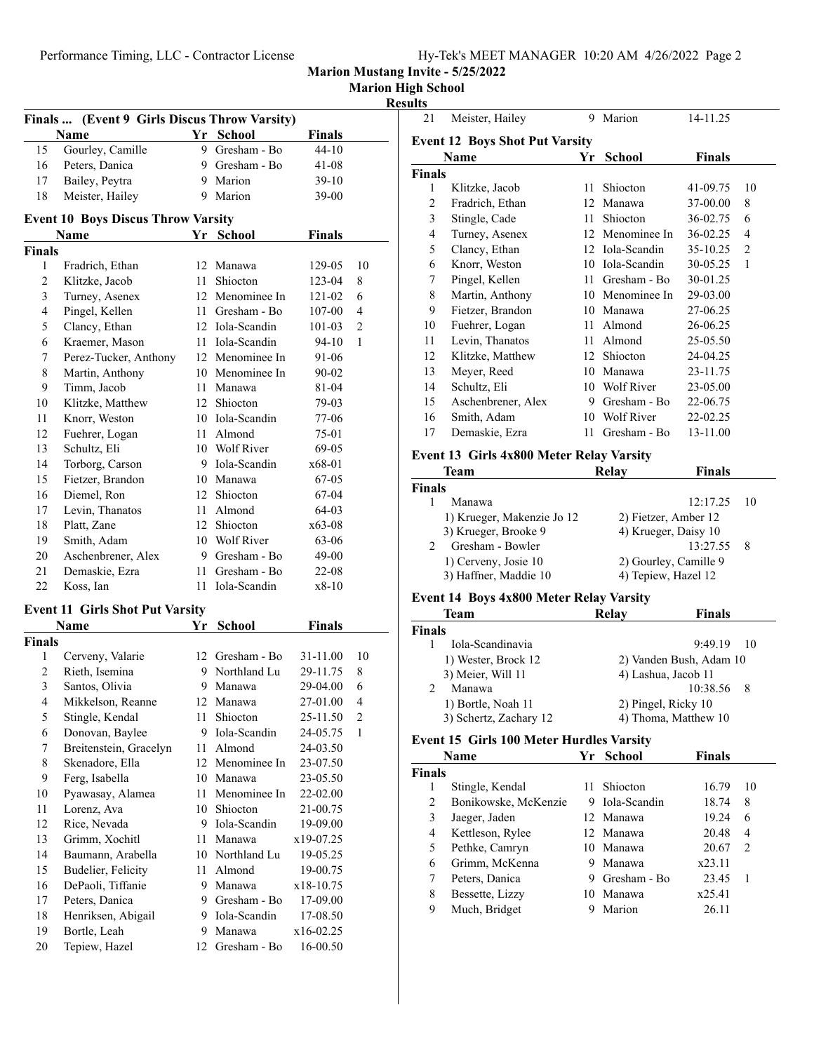**Marion High School**

**Results**

| Finals        | (Event 9 Girls Discus Throw Varsity)<br><b>Name</b> |        | Yr School                    | <b>Finals</b>  |                |
|---------------|-----------------------------------------------------|--------|------------------------------|----------------|----------------|
| 15            | Gourley, Camille                                    |        | 9 Gresham - Bo               | 44-10          |                |
| 16            | Peters, Danica                                      |        | 9 Gresham - Bo               | 41-08          |                |
| 17            | Bailey, Peytra                                      |        | 9 Marion                     | 39-10          |                |
| 18            | Meister, Hailey                                     |        | 9 Marion                     | 39-00          |                |
|               |                                                     |        |                              |                |                |
|               | <b>Event 10 Boys Discus Throw Varsity</b>           |        |                              |                |                |
|               | Name                                                |        | Yr School                    | <b>Finals</b>  |                |
| <b>Finals</b> |                                                     |        |                              |                |                |
| 1             | Fradrich, Ethan                                     |        | 12 Manawa                    | 129-05         | 10             |
| 2             | Klitzke, Jacob                                      | 11     | <b>Shiocton</b>              | 123-04         | 8              |
| 3             | Turney, Asenex                                      |        | 12 Menominee In              | 121-02         | 6              |
| 4             | Pingel, Kellen                                      |        | 11 Gresham - Bo              | 107-00         | 4              |
| 5             | Clancy, Ethan                                       |        | 12 Iola-Scandin              | 101-03         | $\overline{c}$ |
| 6             | Kraemer, Mason                                      |        | 11 Iola-Scandin              | 94-10          | 1              |
| 7             | Perez-Tucker, Anthony                               |        | 12 Menominee In              | 91-06          |                |
| 8             | Martin, Anthony                                     |        | 10 Menominee In              | 90-02          |                |
| 9             | Timm, Jacob                                         |        | 11 Manawa                    | 81-04          |                |
| 10            | Klitzke, Matthew                                    |        | 12 Shiocton                  | 79-03          |                |
| 11            | Knorr, Weston                                       |        | 10 Iola-Scandin              | 77-06          |                |
| 12            | Fuehrer, Logan                                      |        | 11 Almond                    | 75-01          |                |
| 13            | Schultz, Eli                                        |        | 10 Wolf River                | 69-05          |                |
| 14            | Torborg, Carson                                     |        | 9 Iola-Scandin               | x68-01         |                |
| 15            | Fietzer, Brandon                                    |        | 10 Manawa                    | $67-05$        |                |
| 16            | Diemel, Ron                                         |        | 12 Shiocton                  | 67-04          |                |
| 17            | Levin, Thanatos                                     |        | 11 Almond                    | 64-03          |                |
| 18<br>19      | Platt, Zane                                         |        | 12 Shiocton<br>10 Wolf River | x63-08         |                |
| 20            | Smith, Adam<br>Aschenbrener, Alex                   |        | 9 Gresham - Bo               | 63-06          |                |
| 21            | Demaskie, Ezra                                      | 11     | Gresham - Bo                 | 49-00          |                |
| 22            | Koss, Ian                                           | $11 -$ | Iola-Scandin                 | 22-08<br>x8-10 |                |
|               |                                                     |        |                              |                |                |
|               | <b>Event 11 Girls Shot Put Varsity</b>              |        |                              |                |                |
|               | Name                                                | Yr     | School                       | Finals         |                |
| <b>Finals</b> |                                                     |        |                              |                |                |
| 1             | Cerveny, Valarie                                    |        | 12 Gresham - Bo              | 31-11.00       | 10             |
| 2             | Rieth. Isemina                                      |        | 9 Northland Lu               | 29-11.75       | 8              |
| 3             | Santos, Olivia                                      | 9      | Manawa                       | 29-04.00       | 6              |
| 4             | Mikkelson, Reanne                                   | 12     | Manawa                       | 27-01.00       | 4              |
| 5             | Stingle, Kendal                                     | 11     | Shiocton                     | 25-11.50       | 2              |
| 6             | Donovan, Baylee                                     | 9.     | Iola-Scandin                 | 24-05.75       | 1              |
| 7             | Breitenstein, Gracelyn                              | 11     | Almond                       | 24-03.50       |                |
| 8             | Skenadore, Ella                                     |        | 12 Menominee In              | 23-07.50       |                |
| 9             | Ferg, Isabella                                      |        | 10 Manawa                    | 23-05.50       |                |
| 10            | Pyawasay, Alamea                                    | 11     | Menominee In                 | 22-02.00       |                |
| 11            | Lorenz, Ava                                         | 10     | Shiocton                     | 21-00.75       |                |
| 12            | Rice, Nevada                                        |        | 9 Iola-Scandin               | 19-09.00       |                |
| 13            | Grimm, Xochitl                                      | 11     | Manawa                       | x19-07.25      |                |
| 14            | Baumann, Arabella                                   |        | 10 Northland Lu              | 19-05.25       |                |
| 15            | Budelier, Felicity                                  | 11 -   | Almond                       | 19-00.75       |                |
| 16            | DePaoli, Tiffanie                                   | 9.     | Manawa                       | x18-10.75      |                |
| 17            | Peters, Danica                                      | 9.     | Gresham - Bo                 | 17-09.00       |                |
| 18            | Henriksen, Abigail                                  | 9.     | Iola-Scandin                 | 17-08.50       |                |
| 19            | Bortle, Leah                                        | 9.     | Manawa                       | x16-02.25      |                |
| 20            | Tepiew, Hazel                                       | 12     | Gresham - Bo                 | 16-00.50       |                |

| <b>Event 12 Boys Shot Put Varsity</b><br>Name<br><b>Finals</b><br>School<br>Yr |  |
|--------------------------------------------------------------------------------|--|
|                                                                                |  |
|                                                                                |  |
| <b>Finals</b>                                                                  |  |
| Shiocton<br>41-09.75<br>1<br>Klitzke, Jacob<br>10<br>11                        |  |
| 37-00.00<br>8<br>2<br>Fradrich, Ethan<br>Manawa<br>12                          |  |
| 3<br>36-02.75<br>Stingle, Cade<br>Shiocton<br>6<br>11                          |  |
| 36-02.25<br>4<br>12 Menominee In<br>Turney, Asenex<br>4                        |  |
| 5<br>$\mathfrak{D}$<br>35-10.25<br>Iola-Scandin<br>Clancy, Ethan<br>12         |  |
| 30-05.25<br>1<br>6<br>Iola-Scandin<br>Knorr, Weston<br>10                      |  |
| 30-01.25<br>Pingel, Kellen<br>Gresham - Bo<br>7<br>11                          |  |
| 8<br>Menominee In<br>29-03.00<br>Martin, Anthony<br>10                         |  |
| 9<br>27-06.25<br>Fietzer, Brandon<br>10<br>Manawa                              |  |
| 26-06.25<br>10<br>Fuehrer, Logan<br>Almond<br>11                               |  |
| 25-05.50<br>11<br>Almond<br>Levin, Thanatos<br>11                              |  |
| 12<br>Shiocton<br>24-04.25<br>Klitzke, Matthew<br>12                           |  |
| 23-11.75<br>13<br>Meyer, Reed<br>Manawa<br>10                                  |  |
| Wolf River<br>23-05.00<br>14<br>Schultz, Eli<br>10                             |  |
| Gresham - Bo<br>22-06.75<br>15<br>Aschenbrener, Alex<br>9                      |  |
| <b>Wolf River</b><br>22-02.25<br>16<br>Smith, Adam<br>10                       |  |
| 13-11.00<br>17<br>Gresham - Bo<br>Demaskie, Ezra<br>11                         |  |

#### **Event 13 Girls 4x800 Meter Relay Varsity**

|               | Team                       | <b>Finals</b><br>Relav |      |
|---------------|----------------------------|------------------------|------|
| <b>Finals</b> |                            |                        |      |
|               | Manawa                     | 12:17.25               | - 10 |
|               | 1) Krueger, Makenzie Jo 12 | 2) Fietzer, Amber 12   |      |
|               | 3) Krueger, Brooke 9       | 4) Krueger, Daisy 10   |      |
| $\mathcal{D}$ | Gresham - Bowler           | $13:27.55$ 8           |      |
|               | 1) Cerveny, Josie 10       | 2) Gourley, Camille 9  |      |
|               | 3) Haffner, Maddie 10      | 4) Tepiew, Hazel 12    |      |

### **Event 14 Boys 4x800 Meter Relay Varsity**

| Team                   | Relay | <b>Finals</b>           |
|------------------------|-------|-------------------------|
| <b>Finals</b>          |       |                         |
| Iola-Scandinavia       |       | $9:49.19$ 10            |
| 1) Wester, Brock 12    |       | 2) Vanden Bush, Adam 10 |
| 3) Meier, Will 11      |       | 4) Lashua, Jacob 11     |
| Manawa                 |       | 10:38.56 8              |
| 1) Bortle, Noah 11     |       | 2) Pingel, Ricky 10     |
| 3) Schertz, Zachary 12 |       | 4) Thoma, Matthew 10    |

#### **Event 15 Girls 100 Meter Hurdles Varsity**

|               | Name                 | Yr | School       | Finals |                          |
|---------------|----------------------|----|--------------|--------|--------------------------|
| <b>Finals</b> |                      |    |              |        |                          |
|               | Stingle, Kendal      |    | Shiocton     | 16.79  | 10                       |
| 2             | Bonikowske, McKenzie | 9  | Iola-Scandin | 18.74  | 8                        |
| 3             | Jaeger, Jaden        |    | 12 Manawa    | 19.24  | 6                        |
| 4             | Kettleson, Rylee     |    | 12 Manawa    | 20.48  | 4                        |
| 5             | Pethke, Camryn       |    | 10 Manawa    | 20.67  | $\mathfrak{D}_{1}^{(1)}$ |
| 6             | Grimm, McKenna       |    | Manawa       | x23.11 |                          |
|               | Peters, Danica       |    | Gresham - Bo | 23.45  |                          |
| 8             | Bessette, Lizzy      | 10 | Manawa       | x25.41 |                          |
| 9             | Much, Bridget        |    | Marion       | 26.11  |                          |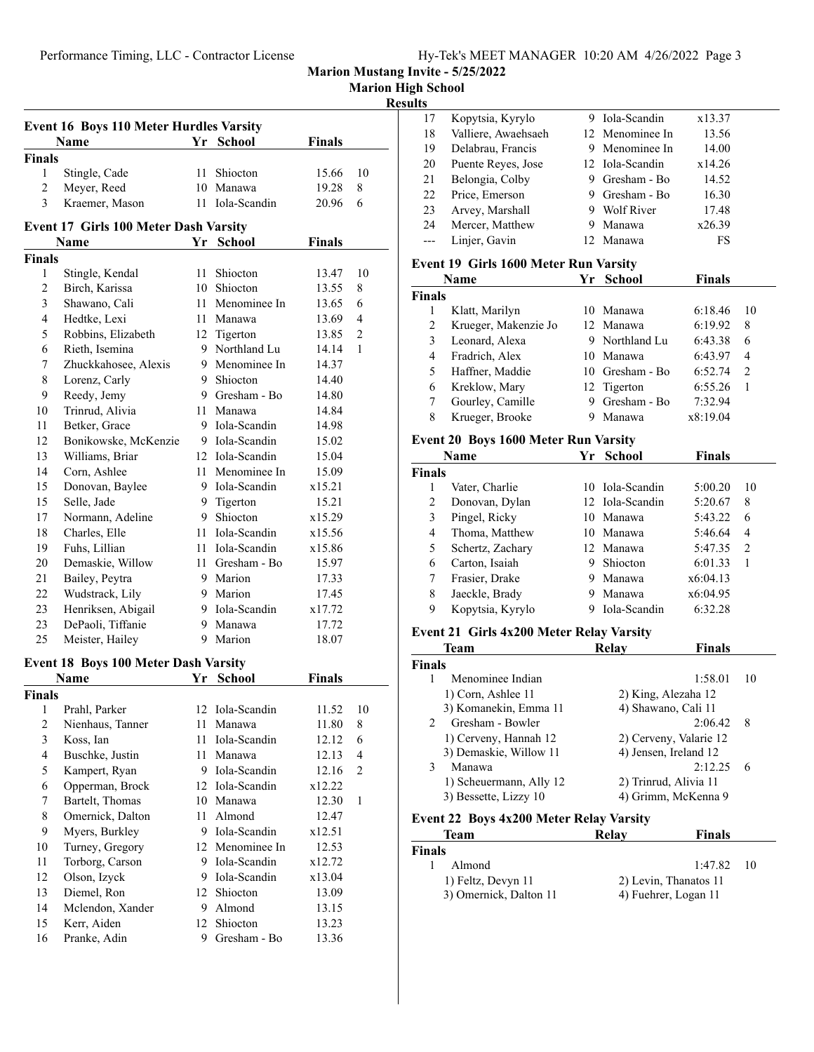| Hy-Tek's MEET MANAGER 10:20 AM 4/26/2022 Page 3 |
|-------------------------------------------------|
|-------------------------------------------------|

| <b>Marion High School</b> |  |
|---------------------------|--|

#### **Results**

| <b>Event 16 Boys 110 Meter Hurdles Varsity</b> |                                              |    |                 |        |                |  |
|------------------------------------------------|----------------------------------------------|----|-----------------|--------|----------------|--|
|                                                | Name                                         |    | Yr School       | Finals |                |  |
| <b>Finals</b>                                  |                                              |    |                 |        |                |  |
| $\mathbf{1}$                                   | Stingle, Cade                                | 11 | Shiocton        | 15.66  | 10             |  |
| $\overline{2}$                                 | Meyer, Reed                                  |    | 10 Manawa       | 19.28  | 8              |  |
| 3                                              | Kraemer, Mason                               |    | 11 Iola-Scandin | 20.96  | 6              |  |
|                                                | <b>Event 17 Girls 100 Meter Dash Varsity</b> |    |                 |        |                |  |
|                                                | Name                                         |    | Yr School       | Finals |                |  |
| <b>Finals</b>                                  |                                              |    |                 |        |                |  |
| 1                                              | Stingle, Kendal                              | 11 | Shiocton        | 13.47  | 10             |  |
| 2                                              | Birch, Karissa                               |    | 10 Shiocton     | 13.55  | 8              |  |
| 3                                              | Shawano, Cali                                |    | 11 Menominee In | 13.65  | 6              |  |
| 4                                              | Hedtke, Lexi                                 |    | 11 Manawa       | 13.69  | 4              |  |
| 5                                              | Robbins, Elizabeth                           |    | 12 Tigerton     | 13.85  | $\overline{c}$ |  |
| 6                                              | Rieth, Isemina                               |    | 9 Northland Lu  | 14.14  | $\mathbf{1}$   |  |
| 7                                              | Zhuckkahosee, Alexis                         | 9. | Menominee In    | 14.37  |                |  |
| 8                                              | Lorenz, Carly                                | 9. | Shiocton        | 14.40  |                |  |
| 9                                              | Reedy, Jemy                                  |    | 9 Gresham - Bo  | 14.80  |                |  |
| 10                                             | Trinrud, Alivia                              |    | 11 Manawa       | 14.84  |                |  |
| 11                                             | Betker, Grace                                |    | 9 Iola-Scandin  | 14.98  |                |  |
| 12                                             | Bonikowske, McKenzie                         |    | 9 Iola-Scandin  | 15.02  |                |  |
| 13                                             | Williams, Briar                              |    | 12 Iola-Scandin | 15.04  |                |  |
| 14                                             | Corn, Ashlee                                 |    | 11 Menominee In | 15.09  |                |  |
| 15                                             | Donovan, Baylee                              |    | 9 Iola-Scandin  | x15.21 |                |  |
| 15                                             | Selle, Jade                                  |    | 9 Tigerton      | 15.21  |                |  |
| 17                                             | Normann, Adeline                             |    | 9 Shiocton      | x15.29 |                |  |
| 18                                             | Charles, Elle                                |    | 11 Iola-Scandin | x15.56 |                |  |
| 19                                             | Fuhs, Lillian                                |    | 11 Iola-Scandin | x15.86 |                |  |
| 20                                             | Demaskie, Willow                             |    | 11 Gresham - Bo | 15.97  |                |  |
| 21                                             | Bailey, Peytra                               |    | 9 Marion        | 17.33  |                |  |
| 22                                             | Wudstrack, Lily                              |    | 9 Marion        | 17.45  |                |  |
| 23                                             | Henriksen, Abigail                           |    | 9 Iola-Scandin  | x17.72 |                |  |
| 23                                             | DePaoli, Tiffanie                            | 9. | Manawa          | 17.72  |                |  |
| 25                                             | Meister, Hailey                              | 9  | Marion          | 18.07  |                |  |
|                                                |                                              |    |                 |        |                |  |

#### **Event 18 Boys 100 Meter Dash Varsity**

|        | Name             | Yr | School          | Finals |    |  |
|--------|------------------|----|-----------------|--------|----|--|
| Finals |                  |    |                 |        |    |  |
| 1      | Prahl, Parker    |    | 12 Iola-Scandin | 11.52  | 10 |  |
| 2      | Nienhaus, Tanner | 11 | Manawa          | 11.80  | 8  |  |
| 3      | Koss, Ian        | 11 | Iola-Scandin    | 12.12  | 6  |  |
| 4      | Buschke, Justin  | 11 | Manawa          | 12.13  | 4  |  |
| 5      | Kampert, Ryan    | 9  | Iola-Scandin    | 12.16  | 2  |  |
| 6      | Opperman, Brock  |    | 12 Iola-Scandin | x12.22 |    |  |
| 7      | Bartelt, Thomas  | 10 | Manawa          | 12.30  | 1  |  |
| 8      | Omernick, Dalton | 11 | Almond          | 12.47  |    |  |
| 9      | Myers, Burkley   | 9  | Iola-Scandin    | x12.51 |    |  |
| 10     | Turney, Gregory  |    | 12 Menominee In | 12.53  |    |  |
| 11     | Torborg, Carson  | 9  | Iola-Scandin    | x12.72 |    |  |
| 12     | Olson, Izyck     | 9  | Iola-Scandin    | x13.04 |    |  |
| 13     | Diemel, Ron      |    | 12 Shiocton     | 13.09  |    |  |
| 14     | Mclendon, Xander | 9  | Almond          | 13.15  |    |  |
| 15     | Kerr, Aiden      | 12 | <b>Shiocton</b> | 13.23  |    |  |
| 16     | Pranke, Adin     | 9  | Gresham - Bo    | 13.36  |    |  |
|        |                  |    |                 |        |    |  |

| 17 | Kopytsia, Kyrylo    |     | 9 Iola-Scandin  | x13.37 |  |
|----|---------------------|-----|-----------------|--------|--|
| 18 | Valliere, Awaehsaeh |     | 12 Menominee In | 13.56  |  |
| 19 | Delabrau, Francis   |     | 9 Menominee In  | 14.00  |  |
| 20 | Puente Reyes, Jose  |     | 12 Iola-Scandin | x14.26 |  |
| 21 | Belongia, Colby     |     | 9 Gresham - Bo  | 14.52  |  |
| 22 | Price, Emerson      |     | 9 Gresham - Bo  | 16.30  |  |
| 23 | Arvey, Marshall     |     | 9 Wolf River    | 17.48  |  |
| 24 | Mercer, Matthew     | 9   | Manawa          | x26.39 |  |
|    | Linjer, Gavin       | 12. | Manawa          | FS     |  |
|    |                     |     |                 |        |  |

#### **Event 19 Girls 1600 Meter Run Varsity**

|               | Name                 | Yr | <b>School</b>   | <b>Finals</b> |               |
|---------------|----------------------|----|-----------------|---------------|---------------|
| <b>Finals</b> |                      |    |                 |               |               |
|               | Klatt, Marilyn       |    | 10 Manawa       | 6:18.46       | 10            |
| 2             | Krueger, Makenzie Jo |    | 12 Manawa       | 6:19.92       | 8             |
| 3             | Leonard, Alexa       |    | 9 Northland Lu  | 6:43.38       | 6             |
| 4             | Fradrich, Alex       | 10 | Manawa          | 6:43.97       | 4             |
| 5             | Haffner, Maddie      |    | 10 Gresham - Bo | 6:52.74       | $\mathcal{P}$ |
| 6             | Kreklow, Mary        |    | 12 Tigerton     | 6:55.26       |               |
|               | Gourley, Camille     | 9  | Gresham - Bo    | 7:32.94       |               |
| 8             | Krueger, Brooke      |    | Manawa          | x8:19.04      |               |

# **Event 20 Boys 1600 Meter Run Varsity**

|               | Name             | Үr | School          | <b>Finals</b> |                |
|---------------|------------------|----|-----------------|---------------|----------------|
| <b>Finals</b> |                  |    |                 |               |                |
|               | Vater, Charlie   |    | 10 Iola-Scandin | 5:00.20       | 10             |
| 2             | Donovan, Dylan   |    | 12 Iola-Scandin | 5:20.67       | 8              |
| 3             | Pingel, Ricky    |    | 10 Manawa       | 5:43.22       | 6              |
| 4             | Thoma, Matthew   | 10 | Manawa          | 5:46.64       | 4              |
| 5             | Schertz, Zachary |    | 12. Manawa      | 5:47.35       | $\overline{2}$ |
| 6             | Carton, Isaiah   | 9  | Shiocton        | 6:01.33       | 1              |
| 7             | Frasier, Drake   | 9  | Manawa          | x6:04.13      |                |
| 8             | Jaeckle, Brady   | 9  | Manawa          | x6:04.95      |                |
| 9             | Kopytsia, Kyrylo | 9  | Iola-Scandin    | 6:32.28       |                |

#### **Event 21 Girls 4x200 Meter Relay Varsity**

|               | Team                    | Relav | <b>Finals</b>          |     |
|---------------|-------------------------|-------|------------------------|-----|
| <b>Finals</b> |                         |       |                        |     |
|               | Menominee Indian        |       | 1:58.01                | 10  |
|               | 1) Corn, Ashlee 11      |       | 2) King, Alezaha 12    |     |
|               | 3) Komanekin, Emma 11   |       | 4) Shawano, Cali 11    |     |
| $\mathcal{D}$ | Gresham - Bowler        |       | 2:06.42                | - 8 |
|               | 1) Cerveny, Hannah 12   |       | 2) Cerveny, Valarie 12 |     |
|               | 3) Demaskie, Willow 11  |       | 4) Jensen, Ireland 12  |     |
| 3             | Manawa                  |       | 2:12.25                | -6  |
|               | 1) Scheuermann, Ally 12 |       | 2) Trinrud, Alivia 11  |     |
|               | 3) Bessette, Lizzy 10   |       | 4) Grimm, McKenna 9    |     |

#### **Event 22 Boys 4x200 Meter Relay Varsity**

| Team                   | Relav                 | <b>Finals</b>   |  |
|------------------------|-----------------------|-----------------|--|
| <b>Finals</b>          |                       |                 |  |
| Almond                 |                       | 1:47.82<br>- 10 |  |
| 1) Feltz, Devyn 11     | 2) Levin, Thanatos 11 |                 |  |
| 3) Omernick, Dalton 11 | 4) Fuehrer, Logan 11  |                 |  |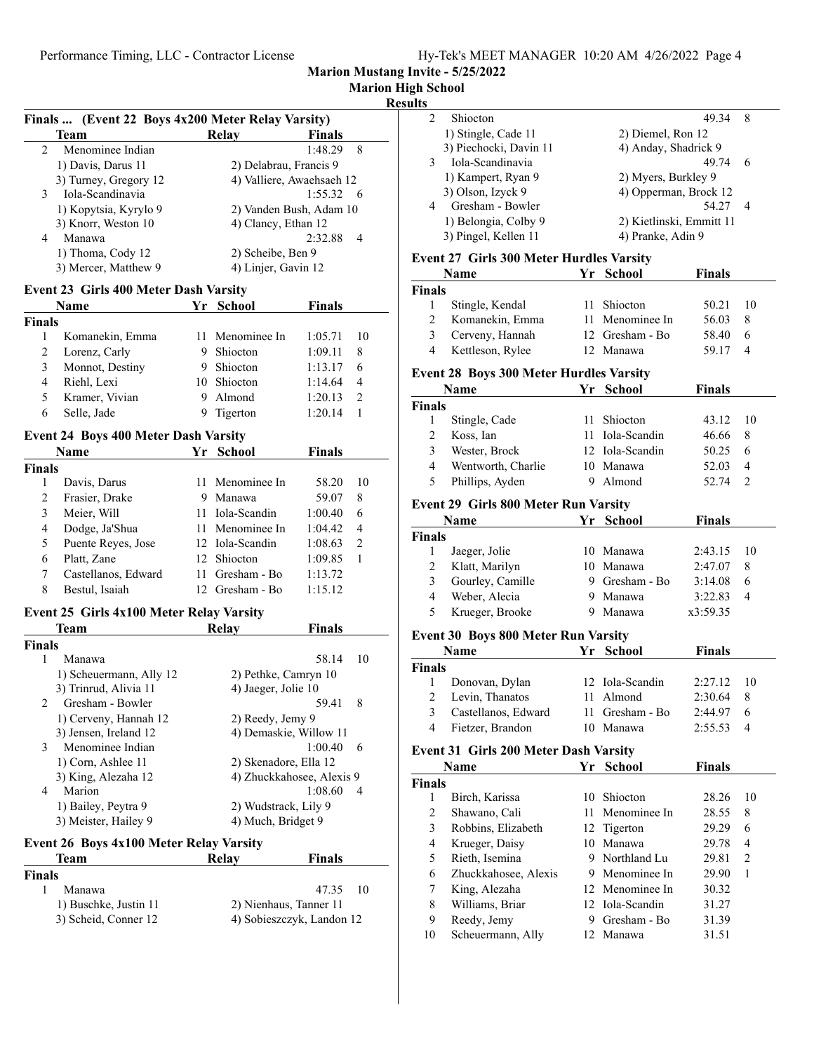| Hy-Tek's MEET MANAGER 10:20 AM 4/26/2022 Page 4 |  |  |  |
|-------------------------------------------------|--|--|--|
|-------------------------------------------------|--|--|--|

**Marion Mustang Invite - 5/25/2022**

# **Marion High School**

## **Results**

|               | Finals  (Event 22 Boys 4x200 Meter Relay Varsity) |    |                           |         |                |
|---------------|---------------------------------------------------|----|---------------------------|---------|----------------|
|               | <b>Team</b>                                       |    | Relay                     | Finals  |                |
| 2             | Menominee Indian                                  |    |                           | 1:48.29 | 8              |
|               | 1) Davis, Darus 11                                |    | 2) Delabrau, Francis 9    |         |                |
|               | 3) Turney, Gregory 12                             |    | 4) Valliere, Awaehsaeh 12 |         |                |
| 3             | Iola-Scandinavia                                  |    |                           | 1:55.32 | 6              |
|               | 1) Kopytsia, Kyrylo 9                             |    | 2) Vanden Bush, Adam 10   |         |                |
|               | 3) Knorr, Weston 10                               |    | 4) Clancy, Ethan 12       |         |                |
| 4             | Manawa                                            |    |                           | 2:32.88 | 4              |
|               | 1) Thoma, Cody 12                                 |    | 2) Scheibe, Ben 9         |         |                |
|               | 3) Mercer, Matthew 9                              |    | 4) Linjer, Gavin 12       |         |                |
|               | <b>Event 23 Girls 400 Meter Dash Varsity</b>      |    |                           |         |                |
|               | Name                                              |    | Yr School                 | Finals  |                |
| <b>Finals</b> |                                                   |    |                           |         |                |
| 1             | Komanekin, Emma                                   |    | 11 Menominee In           | 1:05.71 | 10             |
| 2             |                                                   |    | 9 Shiocton                |         |                |
|               | Lorenz, Carly                                     |    | 9 Shiocton                | 1:09.11 | 8              |
| 3             | Monnot, Destiny                                   |    |                           | 1:13.17 | 6              |
| 4             | Riehl, Lexi                                       |    | 10 Shiocton               | 1:14.64 | 4              |
| 5             | Kramer, Vivian                                    |    | 9 Almond                  | 1:20.13 | $\overline{2}$ |
| 6             | Selle, Jade                                       | 9  | Tigerton                  | 1:20.14 | 1              |
|               | <b>Event 24 Boys 400 Meter Dash Varsity</b>       |    |                           |         |                |
|               | <b>Name</b>                                       |    | Yr School                 | Finals  |                |
| <b>Finals</b> |                                                   |    |                           |         |                |
| 1             | Davis, Darus                                      | 11 | Menominee In              | 58.20   | 10             |
| 2             | Frasier, Drake                                    |    | 9 Manawa                  | 59.07   | 8              |
| 3             | Meier, Will                                       |    | 11 Iola-Scandin           | 1:00.40 | 6              |
|               |                                                   |    |                           |         |                |
| 4             | Dodge, Ja'Shua                                    |    | 11 Menominee In           | 1:04.42 | 4              |
| 5             | Puente Reyes, Jose                                |    | 12 Iola-Scandin           | 1:08.63 | 2              |
| 6             | Platt, Zane                                       |    | 12 Shiocton               | 1:09.85 | 1              |
| 7             | Castellanos, Edward                               | 11 | Gresham - Bo              | 1:13.72 |                |
| 8             | Bestul, Isaiah                                    | 12 | Gresham - Bo              | 1:15.12 |                |
|               | <b>Event 25 Girls 4x100 Meter Relay Varsity</b>   |    |                           |         |                |
|               | Team                                              |    | Relay                     | Finals  |                |
| <b>Finals</b> |                                                   |    |                           |         |                |
| 1             | Manawa                                            |    |                           | 58.14   | 10             |
|               | 1) Scheuermann, Ally 12                           |    | 2) Pethke, Camryn 10      |         |                |
|               | 3) Trinrud, Alivia 11                             |    | 4) Jaeger, Jolie 10       |         |                |
| 2             | Gresham - Bowler                                  |    |                           | 59.41   | 8              |
|               | 1) Cerveny, Hannah 12                             |    | 2) Reedy, Jemy 9          |         |                |
|               | 3) Jensen, Ireland 12                             |    | 4) Demaskie, Willow 11    |         |                |
| 3             | Menominee Indian                                  |    |                           | 1:00.40 | 6              |
|               | 1) Corn, Ashlee 11                                |    | 2) Skenadore, Ella 12     |         |                |
|               | 3) King, Alezaha 12                               |    | 4) Zhuckkahosee, Alexis 9 |         |                |
| 4             | Marion                                            |    |                           | 1:08.60 | 4              |
|               | 1) Bailey, Peytra 9                               |    | 2) Wudstrack, Lily 9      |         |                |
|               | 3) Meister, Hailey 9                              |    | 4) Much, Bridget 9        |         |                |
|               |                                                   |    |                           |         |                |
|               | <b>Event 26 Boys 4x100 Meter Relay Varsity</b>    |    |                           |         |                |
|               | Team                                              |    | Relay                     | Finals  |                |
| <b>Finals</b> |                                                   |    |                           |         |                |
| 1             | Manawa                                            |    |                           | 47.35   | 10             |
|               | 1) Buschke, Justin 11                             |    | 2) Nienhaus, Tanner 11    |         |                |

3) Scheid, Conner 12 4) Sobieszczyk, Landon 12

| Shiocton               | 49.34                    |   |  |
|------------------------|--------------------------|---|--|
| 1) Stingle, Cade 11    | 2) Diemel, Ron 12        |   |  |
| 3) Piechocki, Davin 11 | 4) Anday, Shadrick 9     |   |  |
| Iola-Scandinavia       | 49.74                    |   |  |
| 1) Kampert, Ryan 9     | 2) Myers, Burkley 9      |   |  |
| 3) Olson, Izyck 9      | 4) Opperman, Brock 12    |   |  |
| Gresham - Bowler       | 54.27                    | 4 |  |
| 1) Belongia, Colby 9   | 2) Kietlinski, Emmitt 11 |   |  |
| 3) Pingel, Kellen 11   | 4) Pranke, Adin 9        |   |  |
|                        |                          |   |  |

## **Event 27 Girls 300 Meter Hurdles Varsity**

|                         | Name                                           |    | Yr School       | <b>Finals</b> |                |
|-------------------------|------------------------------------------------|----|-----------------|---------------|----------------|
| <b>Finals</b>           |                                                |    |                 |               |                |
| $\mathbf{1}$            | Stingle, Kendal                                | 11 | Shiocton        | 50.21         | 10             |
| $\overline{c}$          | Komanekin, Emma                                |    | 11 Menominee In | 56.03         | 8              |
| 3                       | Cerveny, Hannah                                |    | 12 Gresham - Bo | 58.40         | 6              |
| $\overline{4}$          | Kettleson, Rylee                               |    | 12 Manawa       | 59.17         | 4              |
|                         | <b>Event 28 Boys 300 Meter Hurdles Varsity</b> |    |                 |               |                |
|                         | Name                                           | Yr | <b>School</b>   | <b>Finals</b> |                |
| <b>Finals</b>           |                                                |    |                 |               |                |
| 1                       | Stingle, Cade                                  | 11 | Shiocton        | 43.12         | 10             |
| $\mathbf{2}$            | Koss, Ian                                      | 11 | Iola-Scandin    | 46.66         | 8              |
| 3                       | Wester, Brock                                  |    | 12 Iola-Scandin | 50.25         | 6              |
| $\overline{4}$          | Wentworth, Charlie                             |    | 10 Manawa       | 52.03         | 4              |
| 5                       | Phillips, Ayden                                | 9  | Almond          | 52.74         | $\overline{c}$ |
|                         | <b>Event 29 Girls 800 Meter Run Varsity</b>    |    |                 |               |                |
|                         | Name                                           |    | Yr School       | <b>Finals</b> |                |
| <b>Finals</b>           |                                                |    |                 |               |                |
| 1                       | Jaeger, Jolie                                  |    | 10 Manawa       | 2:43.15       | 10             |
| $\overline{c}$          | Klatt, Marilyn                                 |    | 10 Manawa       | 2:47.07       | 8              |
| 3                       | Gourley, Camille                               |    | 9 Gresham - Bo  | 3:14.08       | 6              |
| $\overline{4}$          | Weber, Alecia                                  |    | 9 Manawa        | 3:22.83       | 4              |
| 5                       | Krueger, Brooke                                | 9  | Manawa          | x3:59.35      |                |
|                         | Event 30 Boys 800 Meter Run Varsity            |    |                 |               |                |
|                         | Name                                           |    | Yr School       | <b>Finals</b> |                |
| <b>Finals</b>           |                                                |    |                 |               |                |
| 1                       | Donovan, Dylan                                 |    | 12 Iola-Scandin | 2:27.12       | 10             |
| $\overline{2}$          | Levin, Thanatos                                |    | 11 Almond       | 2:30.64       | 8              |
| 3                       | Castellanos, Edward                            | 11 | Gresham - Bo    | 2:44.97       | 6              |
| $\overline{4}$          | Fietzer, Brandon                               |    | 10 Manawa       | 2:55.53       | 4              |
|                         | Event 31 Girls 200 Meter Dash Varsity          |    |                 |               |                |
|                         | Name                                           |    | Yr School       | <b>Finals</b> |                |
| <b>Finals</b>           |                                                |    |                 |               |                |
| 1                       | Birch, Karissa                                 |    | 10 Shiocton     | 28.26         | 10             |
| $\overline{c}$          | Shawano, Cali                                  |    | 11 Menominee In | 28.55         | 8              |
| 3                       | Robbins, Elizabeth                             | 12 | Tigerton        | 29.29         | 6              |
| $\overline{\mathbf{4}}$ | Krueger, Daisy                                 |    | 10 Manawa       | 29.78         | 4              |
| 5                       | Rieth, Isemina                                 |    | 9 Northland Lu  | 29.81         | 2              |
| 6                       | Zhuckkahosee, Alexis                           |    | 9 Menominee In  | 29.90         | 1              |
| 7                       | King, Alezaha                                  |    | 12 Menominee In | 30.32         |                |
| 8                       | Williams, Briar                                |    | 12 Iola-Scandin | 31.27         |                |
| 9                       | Reedy, Jemy                                    | 9  | Gresham - Bo    | 31.39         |                |
| 10                      | Scheuermann, Ally                              | 12 | Manawa          | 31.51         |                |
|                         |                                                |    |                 |               |                |